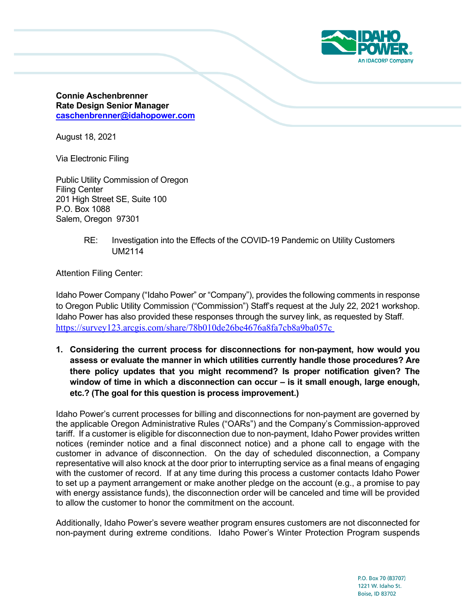

**Connie Aschenbrenner Rate Design Senior Manager [caschenbrenner@idahopower.com](mailto:caschenbrenner@idahopower.com)**

August 18, 2021

Via Electronic Filing

Public Utility Commission of Oregon Filing Center 201 High Street SE, Suite 100 P.O. Box 1088 Salem, Oregon 97301

> RE: Investigation into the Effects of the COVID-19 Pandemic on Utility Customers UM2114

Attention Filing Center:

Idaho Power Company ("Idaho Power" or "Company"), provides the following comments in response to Oregon Public Utility Commission ("Commission") Staff's request at the July 22, 2021 workshop. Idaho Power has also provided these responses through the survey link, as requested by Staff. [https://survey123.arcgis.com/share/78b010de26be4676a8fa7cb8a9ba057c](https://nam04.safelinks.protection.outlook.com/?url=https%3A%2F%2Fsurvey123.arcgis.com%2Fshare%2F78b010de26be4676a8fa7cb8a9ba057c&data=04%7C01%7CShawn.Bonfield%40avistacorp.com%7C6095decd25c940637fb208d94de0db4a%7C64c8d5efb6f743d8b84b8d044edc901d%7C0%7C0%7C637626450858624630%7CUnknown%7CTWFpbGZsb3d8eyJWIjoiMC4wLjAwMDAiLCJQIjoiV2luMzIiLCJBTiI6Ik1haWwiLCJXVCI6Mn0%3D%7C2000&sdata=RaQkKYdLTWY2Pj%2BhbprWfn2vS6sVKEe31QomPhSmWkM%3D&reserved=0) 

**1. Considering the current process for disconnections for non-payment, how would you assess or evaluate the manner in which utilities currently handle those procedures? Are there policy updates that you might recommend? Is proper notification given? The window of time in which a disconnection can occur – is it small enough, large enough, etc.? (The goal for this question is process improvement.)** 

Idaho Power's current processes for billing and disconnections for non-payment are governed by the applicable Oregon Administrative Rules ("OARs") and the Company's Commission-approved tariff. If a customer is eligible for disconnection due to non-payment, Idaho Power provides written notices (reminder notice and a final disconnect notice) and a phone call to engage with the customer in advance of disconnection. On the day of scheduled disconnection, a Company representative will also knock at the door prior to interrupting service as a final means of engaging with the customer of record. If at any time during this process a customer contacts Idaho Power to set up a payment arrangement or make another pledge on the account (e.g., a promise to pay with energy assistance funds), the disconnection order will be canceled and time will be provided to allow the customer to honor the commitment on the account.

 non-payment during extreme conditions. Idaho Power's Winter Protection Program suspends Additionally, Idaho Power's severe weather program ensures customers are not disconnected for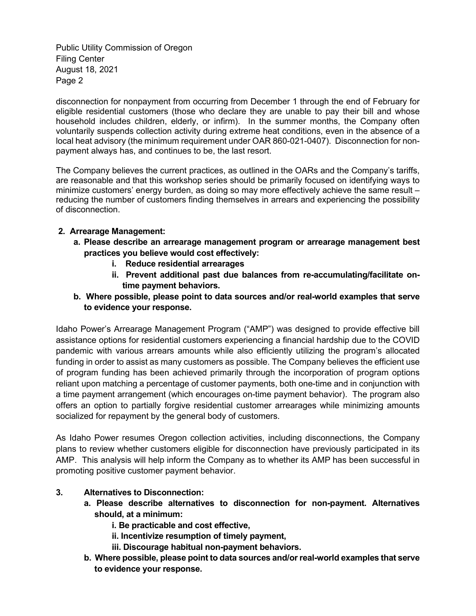Public Utility Commission of Oregon Filing Center August 18, 2021 Page 2

disconnection for nonpayment from occurring from December 1 through the end of February for eligible residential customers (those who declare they are unable to pay their bill and whose household includes children, elderly, or infirm). In the summer months, the Company often voluntarily suspends collection activity during extreme heat conditions, even in the absence of a local heat advisory (the minimum requirement under OAR 860-021-0407). Disconnection for nonpayment always has, and continues to be, the last resort.

The Company believes the current practices, as outlined in the OARs and the Company's tariffs, are reasonable and that this workshop series should be primarily focused on identifying ways to minimize customers' energy burden, as doing so may more effectively achieve the same result – reducing the number of customers finding themselves in arrears and experiencing the possibility of disconnection.

## **2. Arrearage Management:**

- **a. Please describe an arrearage management program or arrearage management best practices you believe would cost effectively:** 
	- **i. Reduce residential arrearages**
	- **ii. Prevent additional past due balances from re-accumulating/facilitate ontime payment behaviors.**
- **b. Where possible, please point to data sources and/or real-world examples that serve to evidence your response.**

Idaho Power's Arrearage Management Program ("AMP") was designed to provide effective bill assistance options for residential customers experiencing a financial hardship due to the COVID pandemic with various arrears amounts while also efficiently utilizing the program's allocated funding in order to assist as many customers as possible. The Company believes the efficient use of program funding has been achieved primarily through the incorporation of program options reliant upon matching a percentage of customer payments, both one-time and in conjunction with a time payment arrangement (which encourages on-time payment behavior). The program also offers an option to partially forgive residential customer arrearages while minimizing amounts socialized for repayment by the general body of customers.

As Idaho Power resumes Oregon collection activities, including disconnections, the Company plans to review whether customers eligible for disconnection have previously participated in its AMP. This analysis will help inform the Company as to whether its AMP has been successful in promoting positive customer payment behavior.

## **3. Alternatives to Disconnection:**

- **a. Please describe alternatives to disconnection for non-payment. Alternatives should, at a minimum:** 
	- **i. Be practicable and cost effective,**
	- **ii. Incentivize resumption of timely payment,**
	- **iii. Discourage habitual non-payment behaviors.**
- **b. Where possible, please point to data sources and/or real-world examples that serve to evidence your response.**